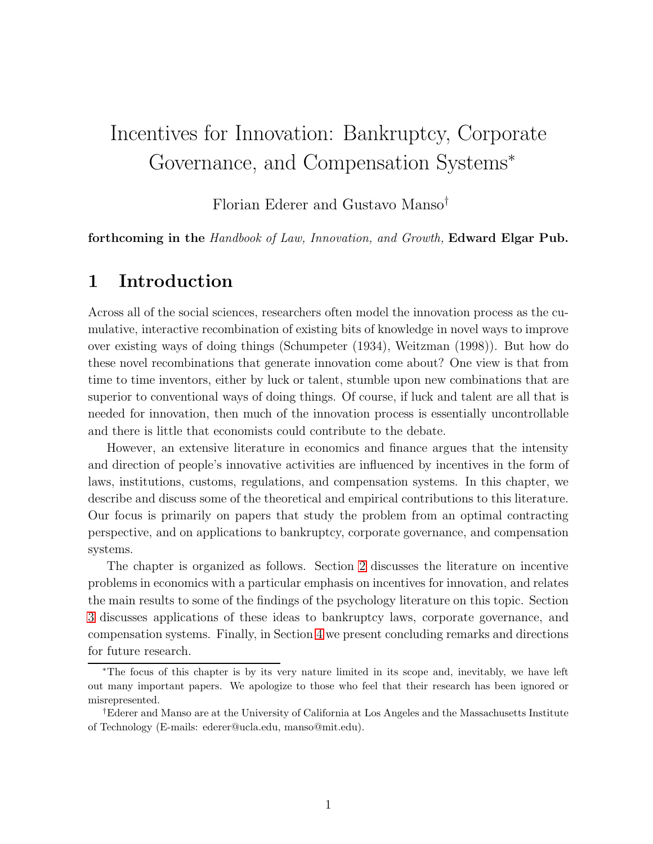# Incentives for Innovation: Bankruptcy, Corporate Governance, and Compensation Systems<sup>∗</sup>

Florian Ederer and Gustavo Manso†

forthcoming in the Handbook of Law, Innovation, and Growth, Edward Elgar Pub.

# 1 Introduction

Across all of the social sciences, researchers often model the innovation process as the cumulative, interactive recombination of existing bits of knowledge in novel ways to improve over existing ways of doing things (Schumpeter (1934), Weitzman (1998)). But how do these novel recombinations that generate innovation come about? One view is that from time to time inventors, either by luck or talent, stumble upon new combinations that are superior to conventional ways of doing things. Of course, if luck and talent are all that is needed for innovation, then much of the innovation process is essentially uncontrollable and there is little that economists could contribute to the debate.

However, an extensive literature in economics and finance argues that the intensity and direction of people's innovative activities are influenced by incentives in the form of laws, institutions, customs, regulations, and compensation systems. In this chapter, we describe and discuss some of the theoretical and empirical contributions to this literature. Our focus is primarily on papers that study the problem from an optimal contracting perspective, and on applications to bankruptcy, corporate governance, and compensation systems.

The chapter is organized as follows. Section [2](#page-1-0) discusses the literature on incentive problems in economics with a particular emphasis on incentives for innovation, and relates the main results to some of the findings of the psychology literature on this topic. Section [3](#page-5-0) discusses applications of these ideas to bankruptcy laws, corporate governance, and compensation systems. Finally, in Section [4](#page-14-0) we present concluding remarks and directions for future research.

<sup>∗</sup>The focus of this chapter is by its very nature limited in its scope and, inevitably, we have left out many important papers. We apologize to those who feel that their research has been ignored or misrepresented.

<sup>†</sup>Ederer and Manso are at the University of California at Los Angeles and the Massachusetts Institute of Technology (E-mails: ederer@ucla.edu, manso@mit.edu).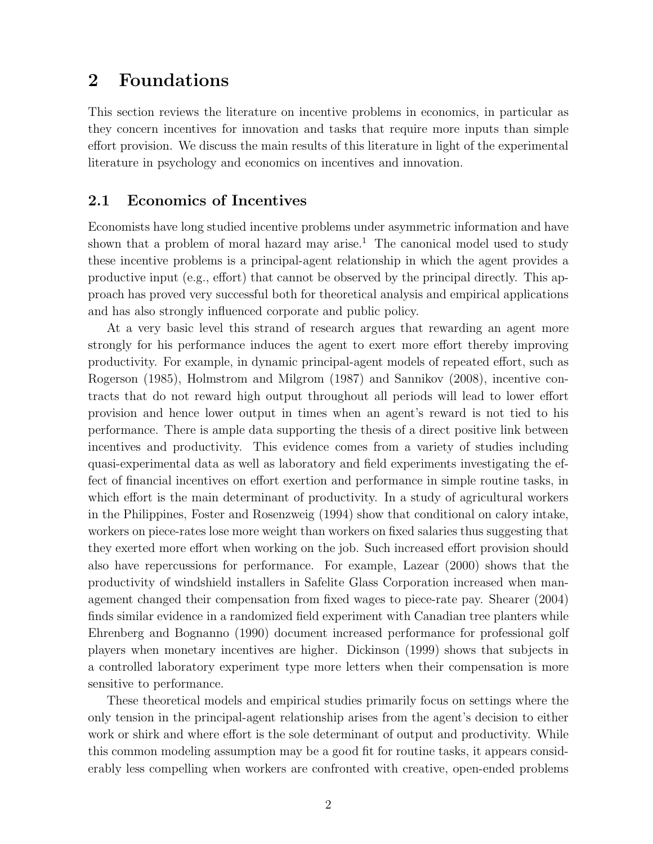## <span id="page-1-0"></span>2 Foundations

This section reviews the literature on incentive problems in economics, in particular as they concern incentives for innovation and tasks that require more inputs than simple effort provision. We discuss the main results of this literature in light of the experimental literature in psychology and economics on incentives and innovation.

#### 2.1 Economics of Incentives

Economists have long studied incentive problems under asymmetric information and have shown that a problem of moral hazard may arise.<sup>1</sup> The canonical model used to study these incentive problems is a principal-agent relationship in which the agent provides a productive input (e.g., effort) that cannot be observed by the principal directly. This approach has proved very successful both for theoretical analysis and empirical applications and has also strongly influenced corporate and public policy.

At a very basic level this strand of research argues that rewarding an agent more strongly for his performance induces the agent to exert more effort thereby improving productivity. For example, in dynamic principal-agent models of repeated effort, such as Rogerson (1985), Holmstrom and Milgrom (1987) and Sannikov (2008), incentive contracts that do not reward high output throughout all periods will lead to lower effort provision and hence lower output in times when an agent's reward is not tied to his performance. There is ample data supporting the thesis of a direct positive link between incentives and productivity. This evidence comes from a variety of studies including quasi-experimental data as well as laboratory and field experiments investigating the effect of financial incentives on effort exertion and performance in simple routine tasks, in which effort is the main determinant of productivity. In a study of agricultural workers in the Philippines, Foster and Rosenzweig (1994) show that conditional on calory intake, workers on piece-rates lose more weight than workers on fixed salaries thus suggesting that they exerted more effort when working on the job. Such increased effort provision should also have repercussions for performance. For example, Lazear (2000) shows that the productivity of windshield installers in Safelite Glass Corporation increased when management changed their compensation from fixed wages to piece-rate pay. Shearer (2004) finds similar evidence in a randomized field experiment with Canadian tree planters while Ehrenberg and Bognanno (1990) document increased performance for professional golf players when monetary incentives are higher. Dickinson (1999) shows that subjects in a controlled laboratory experiment type more letters when their compensation is more sensitive to performance.

These theoretical models and empirical studies primarily focus on settings where the only tension in the principal-agent relationship arises from the agent's decision to either work or shirk and where effort is the sole determinant of output and productivity. While this common modeling assumption may be a good fit for routine tasks, it appears considerably less compelling when workers are confronted with creative, open-ended problems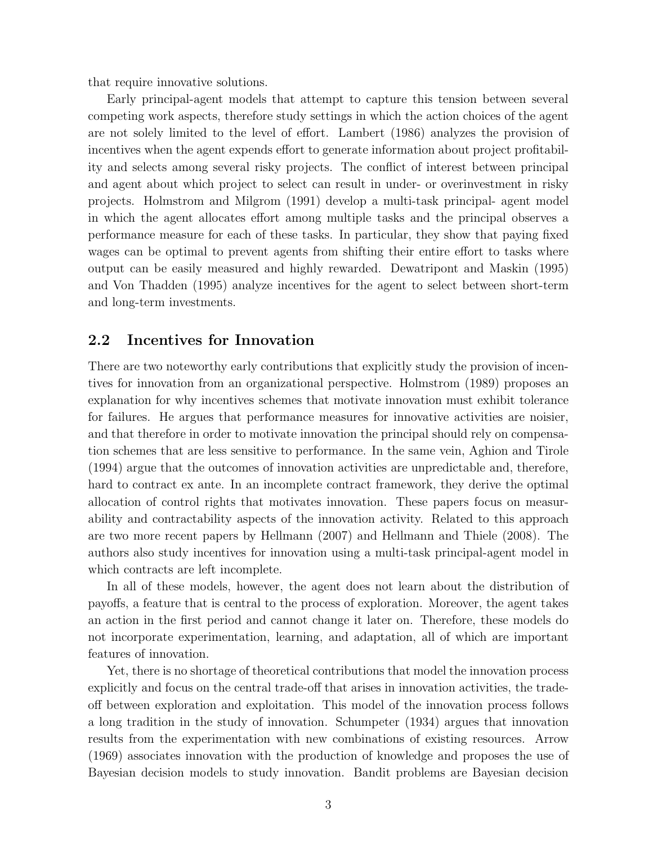that require innovative solutions.

Early principal-agent models that attempt to capture this tension between several competing work aspects, therefore study settings in which the action choices of the agent are not solely limited to the level of effort. Lambert (1986) analyzes the provision of incentives when the agent expends effort to generate information about project profitability and selects among several risky projects. The conflict of interest between principal and agent about which project to select can result in under- or overinvestment in risky projects. Holmstrom and Milgrom (1991) develop a multi-task principal- agent model in which the agent allocates effort among multiple tasks and the principal observes a performance measure for each of these tasks. In particular, they show that paying fixed wages can be optimal to prevent agents from shifting their entire effort to tasks where output can be easily measured and highly rewarded. Dewatripont and Maskin (1995) and Von Thadden (1995) analyze incentives for the agent to select between short-term and long-term investments.

#### 2.2 Incentives for Innovation

There are two noteworthy early contributions that explicitly study the provision of incentives for innovation from an organizational perspective. Holmstrom (1989) proposes an explanation for why incentives schemes that motivate innovation must exhibit tolerance for failures. He argues that performance measures for innovative activities are noisier, and that therefore in order to motivate innovation the principal should rely on compensation schemes that are less sensitive to performance. In the same vein, Aghion and Tirole (1994) argue that the outcomes of innovation activities are unpredictable and, therefore, hard to contract ex ante. In an incomplete contract framework, they derive the optimal allocation of control rights that motivates innovation. These papers focus on measurability and contractability aspects of the innovation activity. Related to this approach are two more recent papers by Hellmann (2007) and Hellmann and Thiele (2008). The authors also study incentives for innovation using a multi-task principal-agent model in which contracts are left incomplete.

In all of these models, however, the agent does not learn about the distribution of payoffs, a feature that is central to the process of exploration. Moreover, the agent takes an action in the first period and cannot change it later on. Therefore, these models do not incorporate experimentation, learning, and adaptation, all of which are important features of innovation.

Yet, there is no shortage of theoretical contributions that model the innovation process explicitly and focus on the central trade-off that arises in innovation activities, the tradeoff between exploration and exploitation. This model of the innovation process follows a long tradition in the study of innovation. Schumpeter (1934) argues that innovation results from the experimentation with new combinations of existing resources. Arrow (1969) associates innovation with the production of knowledge and proposes the use of Bayesian decision models to study innovation. Bandit problems are Bayesian decision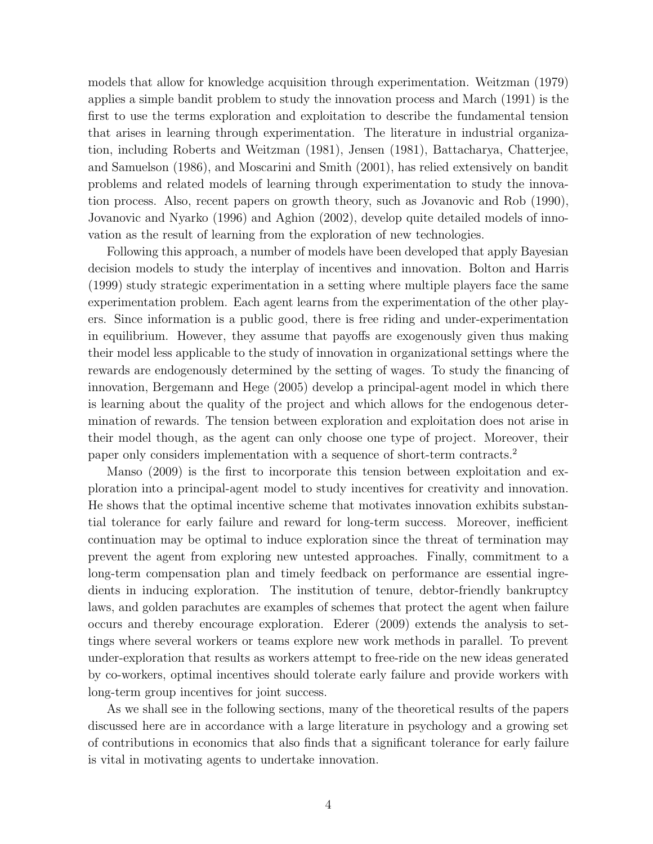models that allow for knowledge acquisition through experimentation. Weitzman (1979) applies a simple bandit problem to study the innovation process and March (1991) is the first to use the terms exploration and exploitation to describe the fundamental tension that arises in learning through experimentation. The literature in industrial organization, including Roberts and Weitzman (1981), Jensen (1981), Battacharya, Chatterjee, and Samuelson (1986), and Moscarini and Smith (2001), has relied extensively on bandit problems and related models of learning through experimentation to study the innovation process. Also, recent papers on growth theory, such as Jovanovic and Rob (1990), Jovanovic and Nyarko (1996) and Aghion (2002), develop quite detailed models of innovation as the result of learning from the exploration of new technologies.

Following this approach, a number of models have been developed that apply Bayesian decision models to study the interplay of incentives and innovation. Bolton and Harris (1999) study strategic experimentation in a setting where multiple players face the same experimentation problem. Each agent learns from the experimentation of the other players. Since information is a public good, there is free riding and under-experimentation in equilibrium. However, they assume that payoffs are exogenously given thus making their model less applicable to the study of innovation in organizational settings where the rewards are endogenously determined by the setting of wages. To study the financing of innovation, Bergemann and Hege (2005) develop a principal-agent model in which there is learning about the quality of the project and which allows for the endogenous determination of rewards. The tension between exploration and exploitation does not arise in their model though, as the agent can only choose one type of project. Moreover, their paper only considers implementation with a sequence of short-term contracts.<sup>2</sup>

Manso (2009) is the first to incorporate this tension between exploitation and exploration into a principal-agent model to study incentives for creativity and innovation. He shows that the optimal incentive scheme that motivates innovation exhibits substantial tolerance for early failure and reward for long-term success. Moreover, inefficient continuation may be optimal to induce exploration since the threat of termination may prevent the agent from exploring new untested approaches. Finally, commitment to a long-term compensation plan and timely feedback on performance are essential ingredients in inducing exploration. The institution of tenure, debtor-friendly bankruptcy laws, and golden parachutes are examples of schemes that protect the agent when failure occurs and thereby encourage exploration. Ederer (2009) extends the analysis to settings where several workers or teams explore new work methods in parallel. To prevent under-exploration that results as workers attempt to free-ride on the new ideas generated by co-workers, optimal incentives should tolerate early failure and provide workers with long-term group incentives for joint success.

As we shall see in the following sections, many of the theoretical results of the papers discussed here are in accordance with a large literature in psychology and a growing set of contributions in economics that also finds that a significant tolerance for early failure is vital in motivating agents to undertake innovation.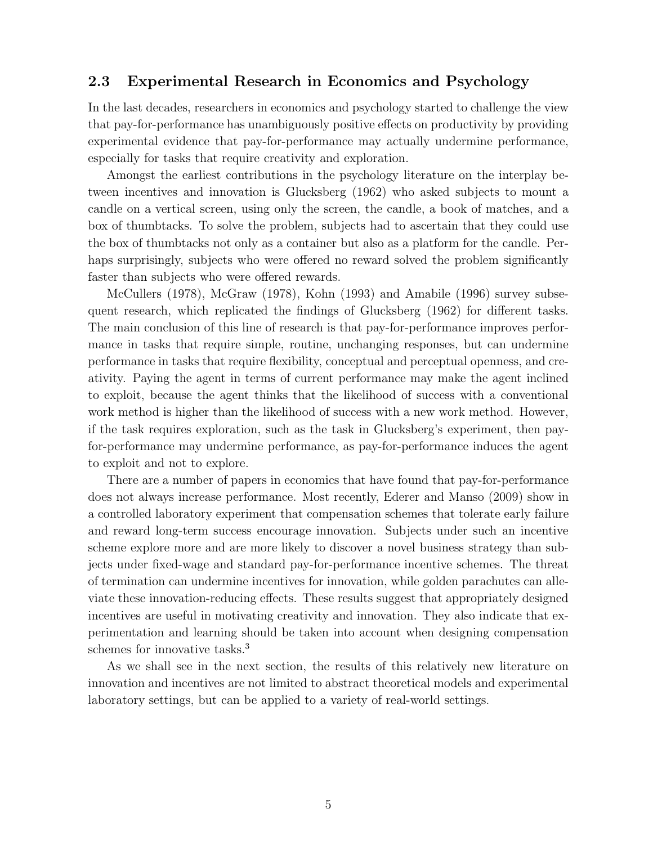## 2.3 Experimental Research in Economics and Psychology

In the last decades, researchers in economics and psychology started to challenge the view that pay-for-performance has unambiguously positive effects on productivity by providing experimental evidence that pay-for-performance may actually undermine performance, especially for tasks that require creativity and exploration.

Amongst the earliest contributions in the psychology literature on the interplay between incentives and innovation is Glucksberg (1962) who asked subjects to mount a candle on a vertical screen, using only the screen, the candle, a book of matches, and a box of thumbtacks. To solve the problem, subjects had to ascertain that they could use the box of thumbtacks not only as a container but also as a platform for the candle. Perhaps surprisingly, subjects who were offered no reward solved the problem significantly faster than subjects who were offered rewards.

McCullers (1978), McGraw (1978), Kohn (1993) and Amabile (1996) survey subsequent research, which replicated the findings of Glucksberg (1962) for different tasks. The main conclusion of this line of research is that pay-for-performance improves performance in tasks that require simple, routine, unchanging responses, but can undermine performance in tasks that require flexibility, conceptual and perceptual openness, and creativity. Paying the agent in terms of current performance may make the agent inclined to exploit, because the agent thinks that the likelihood of success with a conventional work method is higher than the likelihood of success with a new work method. However, if the task requires exploration, such as the task in Glucksberg's experiment, then payfor-performance may undermine performance, as pay-for-performance induces the agent to exploit and not to explore.

There are a number of papers in economics that have found that pay-for-performance does not always increase performance. Most recently, Ederer and Manso (2009) show in a controlled laboratory experiment that compensation schemes that tolerate early failure and reward long-term success encourage innovation. Subjects under such an incentive scheme explore more and are more likely to discover a novel business strategy than subjects under fixed-wage and standard pay-for-performance incentive schemes. The threat of termination can undermine incentives for innovation, while golden parachutes can alleviate these innovation-reducing effects. These results suggest that appropriately designed incentives are useful in motivating creativity and innovation. They also indicate that experimentation and learning should be taken into account when designing compensation schemes for innovative tasks.<sup>3</sup>

As we shall see in the next section, the results of this relatively new literature on innovation and incentives are not limited to abstract theoretical models and experimental laboratory settings, but can be applied to a variety of real-world settings.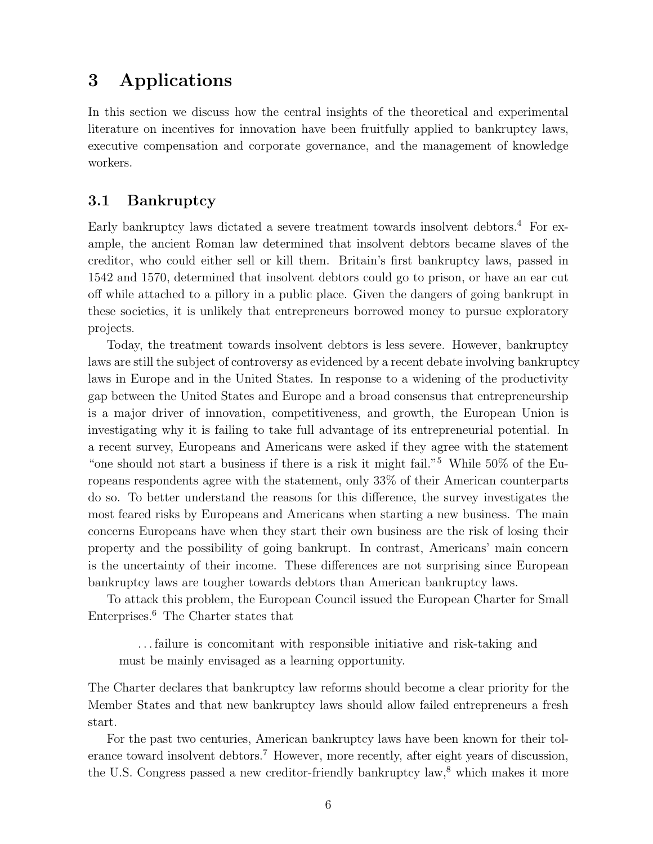# <span id="page-5-0"></span>3 Applications

In this section we discuss how the central insights of the theoretical and experimental literature on incentives for innovation have been fruitfully applied to bankruptcy laws, executive compensation and corporate governance, and the management of knowledge workers.

## 3.1 Bankruptcy

Early bankruptcy laws dictated a severe treatment towards insolvent debtors.<sup>4</sup> For example, the ancient Roman law determined that insolvent debtors became slaves of the creditor, who could either sell or kill them. Britain's first bankruptcy laws, passed in 1542 and 1570, determined that insolvent debtors could go to prison, or have an ear cut off while attached to a pillory in a public place. Given the dangers of going bankrupt in these societies, it is unlikely that entrepreneurs borrowed money to pursue exploratory projects.

Today, the treatment towards insolvent debtors is less severe. However, bankruptcy laws are still the subject of controversy as evidenced by a recent debate involving bankruptcy laws in Europe and in the United States. In response to a widening of the productivity gap between the United States and Europe and a broad consensus that entrepreneurship is a major driver of innovation, competitiveness, and growth, the European Union is investigating why it is failing to take full advantage of its entrepreneurial potential. In a recent survey, Europeans and Americans were asked if they agree with the statement "one should not start a business if there is a risk it might fail."<sup>5</sup> While 50% of the Europeans respondents agree with the statement, only 33% of their American counterparts do so. To better understand the reasons for this difference, the survey investigates the most feared risks by Europeans and Americans when starting a new business. The main concerns Europeans have when they start their own business are the risk of losing their property and the possibility of going bankrupt. In contrast, Americans' main concern is the uncertainty of their income. These differences are not surprising since European bankruptcy laws are tougher towards debtors than American bankruptcy laws.

To attack this problem, the European Council issued the European Charter for Small Enterprises.<sup>6</sup> The Charter states that

. . . failure is concomitant with responsible initiative and risk-taking and must be mainly envisaged as a learning opportunity.

The Charter declares that bankruptcy law reforms should become a clear priority for the Member States and that new bankruptcy laws should allow failed entrepreneurs a fresh start.

For the past two centuries, American bankruptcy laws have been known for their tolerance toward insolvent debtors.<sup>7</sup> However, more recently, after eight years of discussion, the U.S. Congress passed a new creditor-friendly bankruptcy law,<sup>8</sup> which makes it more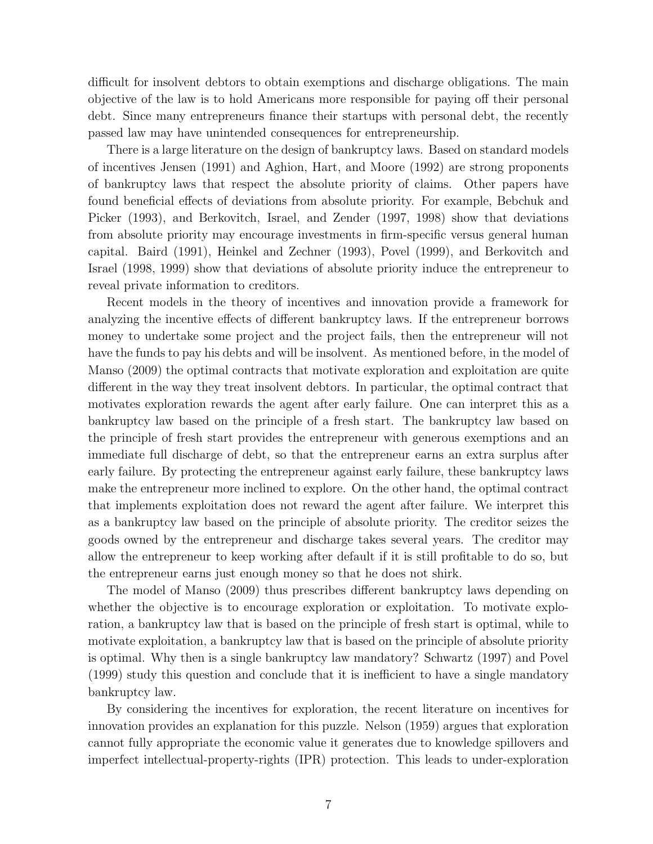difficult for insolvent debtors to obtain exemptions and discharge obligations. The main objective of the law is to hold Americans more responsible for paying off their personal debt. Since many entrepreneurs finance their startups with personal debt, the recently passed law may have unintended consequences for entrepreneurship.

There is a large literature on the design of bankruptcy laws. Based on standard models of incentives Jensen (1991) and Aghion, Hart, and Moore (1992) are strong proponents of bankruptcy laws that respect the absolute priority of claims. Other papers have found beneficial effects of deviations from absolute priority. For example, Bebchuk and Picker (1993), and Berkovitch, Israel, and Zender (1997, 1998) show that deviations from absolute priority may encourage investments in firm-specific versus general human capital. Baird (1991), Heinkel and Zechner (1993), Povel (1999), and Berkovitch and Israel (1998, 1999) show that deviations of absolute priority induce the entrepreneur to reveal private information to creditors.

Recent models in the theory of incentives and innovation provide a framework for analyzing the incentive effects of different bankruptcy laws. If the entrepreneur borrows money to undertake some project and the project fails, then the entrepreneur will not have the funds to pay his debts and will be insolvent. As mentioned before, in the model of Manso (2009) the optimal contracts that motivate exploration and exploitation are quite different in the way they treat insolvent debtors. In particular, the optimal contract that motivates exploration rewards the agent after early failure. One can interpret this as a bankruptcy law based on the principle of a fresh start. The bankruptcy law based on the principle of fresh start provides the entrepreneur with generous exemptions and an immediate full discharge of debt, so that the entrepreneur earns an extra surplus after early failure. By protecting the entrepreneur against early failure, these bankruptcy laws make the entrepreneur more inclined to explore. On the other hand, the optimal contract that implements exploitation does not reward the agent after failure. We interpret this as a bankruptcy law based on the principle of absolute priority. The creditor seizes the goods owned by the entrepreneur and discharge takes several years. The creditor may allow the entrepreneur to keep working after default if it is still profitable to do so, but the entrepreneur earns just enough money so that he does not shirk.

The model of Manso (2009) thus prescribes different bankruptcy laws depending on whether the objective is to encourage exploration or exploitation. To motivate exploration, a bankruptcy law that is based on the principle of fresh start is optimal, while to motivate exploitation, a bankruptcy law that is based on the principle of absolute priority is optimal. Why then is a single bankruptcy law mandatory? Schwartz (1997) and Povel (1999) study this question and conclude that it is inefficient to have a single mandatory bankruptcy law.

By considering the incentives for exploration, the recent literature on incentives for innovation provides an explanation for this puzzle. Nelson (1959) argues that exploration cannot fully appropriate the economic value it generates due to knowledge spillovers and imperfect intellectual-property-rights (IPR) protection. This leads to under-exploration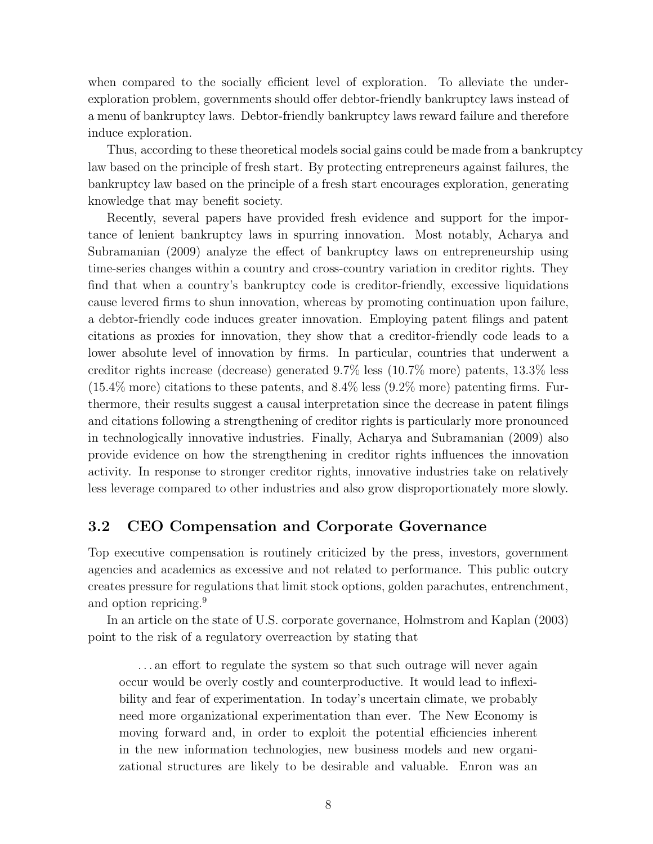when compared to the socially efficient level of exploration. To alleviate the underexploration problem, governments should offer debtor-friendly bankruptcy laws instead of a menu of bankruptcy laws. Debtor-friendly bankruptcy laws reward failure and therefore induce exploration.

Thus, according to these theoretical models social gains could be made from a bankruptcy law based on the principle of fresh start. By protecting entrepreneurs against failures, the bankruptcy law based on the principle of a fresh start encourages exploration, generating knowledge that may benefit society.

Recently, several papers have provided fresh evidence and support for the importance of lenient bankruptcy laws in spurring innovation. Most notably, Acharya and Subramanian (2009) analyze the effect of bankruptcy laws on entrepreneurship using time-series changes within a country and cross-country variation in creditor rights. They find that when a country's bankruptcy code is creditor-friendly, excessive liquidations cause levered firms to shun innovation, whereas by promoting continuation upon failure, a debtor-friendly code induces greater innovation. Employing patent filings and patent citations as proxies for innovation, they show that a creditor-friendly code leads to a lower absolute level of innovation by firms. In particular, countries that underwent a creditor rights increase (decrease) generated 9.7% less (10.7% more) patents, 13.3% less  $(15.4\%$  more) citations to these patents, and  $8.4\%$  less  $(9.2\%$  more) patenting firms. Furthermore, their results suggest a causal interpretation since the decrease in patent filings and citations following a strengthening of creditor rights is particularly more pronounced in technologically innovative industries. Finally, Acharya and Subramanian (2009) also provide evidence on how the strengthening in creditor rights influences the innovation activity. In response to stronger creditor rights, innovative industries take on relatively less leverage compared to other industries and also grow disproportionately more slowly.

## 3.2 CEO Compensation and Corporate Governance

Top executive compensation is routinely criticized by the press, investors, government agencies and academics as excessive and not related to performance. This public outcry creates pressure for regulations that limit stock options, golden parachutes, entrenchment, and option repricing.<sup>9</sup>

In an article on the state of U.S. corporate governance, Holmstrom and Kaplan (2003) point to the risk of a regulatory overreaction by stating that

. . . an effort to regulate the system so that such outrage will never again occur would be overly costly and counterproductive. It would lead to inflexibility and fear of experimentation. In today's uncertain climate, we probably need more organizational experimentation than ever. The New Economy is moving forward and, in order to exploit the potential efficiencies inherent in the new information technologies, new business models and new organizational structures are likely to be desirable and valuable. Enron was an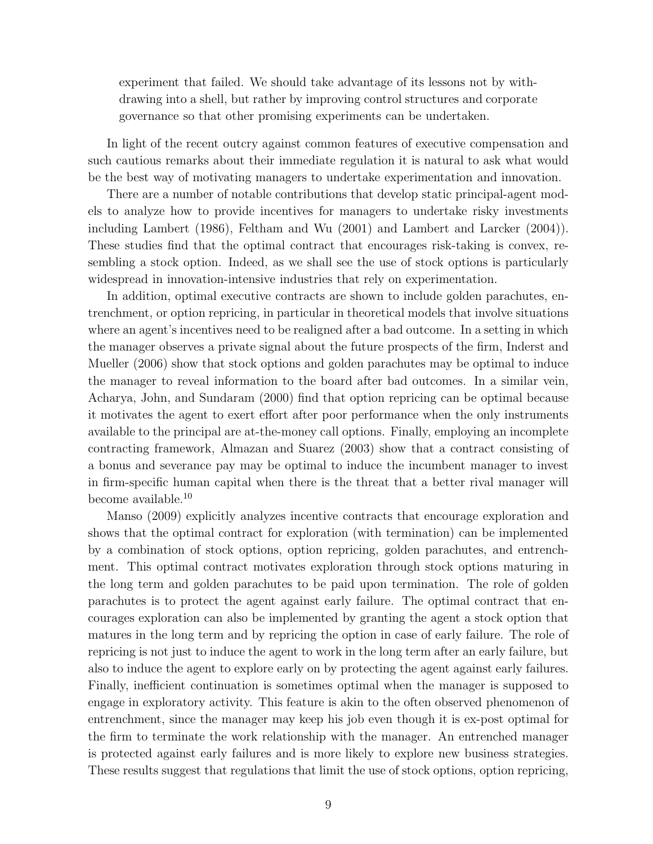experiment that failed. We should take advantage of its lessons not by withdrawing into a shell, but rather by improving control structures and corporate governance so that other promising experiments can be undertaken.

In light of the recent outcry against common features of executive compensation and such cautious remarks about their immediate regulation it is natural to ask what would be the best way of motivating managers to undertake experimentation and innovation.

There are a number of notable contributions that develop static principal-agent models to analyze how to provide incentives for managers to undertake risky investments including Lambert (1986), Feltham and Wu (2001) and Lambert and Larcker (2004)). These studies find that the optimal contract that encourages risk-taking is convex, resembling a stock option. Indeed, as we shall see the use of stock options is particularly widespread in innovation-intensive industries that rely on experimentation.

In addition, optimal executive contracts are shown to include golden parachutes, entrenchment, or option repricing, in particular in theoretical models that involve situations where an agent's incentives need to be realigned after a bad outcome. In a setting in which the manager observes a private signal about the future prospects of the firm, Inderst and Mueller (2006) show that stock options and golden parachutes may be optimal to induce the manager to reveal information to the board after bad outcomes. In a similar vein, Acharya, John, and Sundaram (2000) find that option repricing can be optimal because it motivates the agent to exert effort after poor performance when the only instruments available to the principal are at-the-money call options. Finally, employing an incomplete contracting framework, Almazan and Suarez (2003) show that a contract consisting of a bonus and severance pay may be optimal to induce the incumbent manager to invest in firm-specific human capital when there is the threat that a better rival manager will become available.<sup>10</sup>

Manso (2009) explicitly analyzes incentive contracts that encourage exploration and shows that the optimal contract for exploration (with termination) can be implemented by a combination of stock options, option repricing, golden parachutes, and entrenchment. This optimal contract motivates exploration through stock options maturing in the long term and golden parachutes to be paid upon termination. The role of golden parachutes is to protect the agent against early failure. The optimal contract that encourages exploration can also be implemented by granting the agent a stock option that matures in the long term and by repricing the option in case of early failure. The role of repricing is not just to induce the agent to work in the long term after an early failure, but also to induce the agent to explore early on by protecting the agent against early failures. Finally, inefficient continuation is sometimes optimal when the manager is supposed to engage in exploratory activity. This feature is akin to the often observed phenomenon of entrenchment, since the manager may keep his job even though it is ex-post optimal for the firm to terminate the work relationship with the manager. An entrenched manager is protected against early failures and is more likely to explore new business strategies. These results suggest that regulations that limit the use of stock options, option repricing,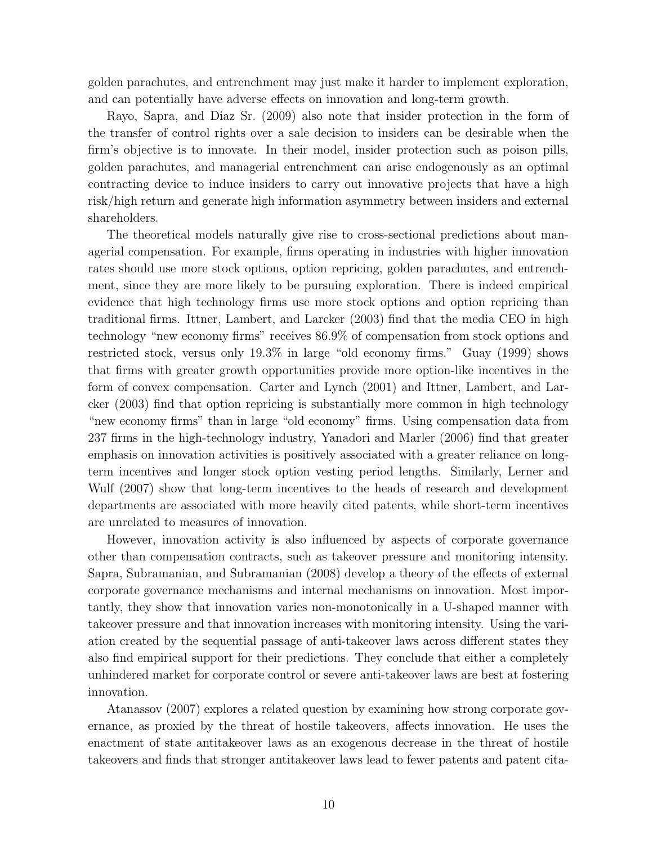golden parachutes, and entrenchment may just make it harder to implement exploration, and can potentially have adverse effects on innovation and long-term growth.

Rayo, Sapra, and Diaz Sr. (2009) also note that insider protection in the form of the transfer of control rights over a sale decision to insiders can be desirable when the firm's objective is to innovate. In their model, insider protection such as poison pills, golden parachutes, and managerial entrenchment can arise endogenously as an optimal contracting device to induce insiders to carry out innovative projects that have a high risk/high return and generate high information asymmetry between insiders and external shareholders.

The theoretical models naturally give rise to cross-sectional predictions about managerial compensation. For example, firms operating in industries with higher innovation rates should use more stock options, option repricing, golden parachutes, and entrenchment, since they are more likely to be pursuing exploration. There is indeed empirical evidence that high technology firms use more stock options and option repricing than traditional firms. Ittner, Lambert, and Larcker (2003) find that the media CEO in high technology "new economy firms" receives 86.9% of compensation from stock options and restricted stock, versus only 19.3% in large "old economy firms." Guay (1999) shows that firms with greater growth opportunities provide more option-like incentives in the form of convex compensation. Carter and Lynch (2001) and Ittner, Lambert, and Larcker (2003) find that option repricing is substantially more common in high technology "new economy firms" than in large "old economy" firms. Using compensation data from 237 firms in the high-technology industry, Yanadori and Marler (2006) find that greater emphasis on innovation activities is positively associated with a greater reliance on longterm incentives and longer stock option vesting period lengths. Similarly, Lerner and Wulf (2007) show that long-term incentives to the heads of research and development departments are associated with more heavily cited patents, while short-term incentives are unrelated to measures of innovation.

However, innovation activity is also influenced by aspects of corporate governance other than compensation contracts, such as takeover pressure and monitoring intensity. Sapra, Subramanian, and Subramanian (2008) develop a theory of the effects of external corporate governance mechanisms and internal mechanisms on innovation. Most importantly, they show that innovation varies non-monotonically in a U-shaped manner with takeover pressure and that innovation increases with monitoring intensity. Using the variation created by the sequential passage of anti-takeover laws across different states they also find empirical support for their predictions. They conclude that either a completely unhindered market for corporate control or severe anti-takeover laws are best at fostering innovation.

Atanassov (2007) explores a related question by examining how strong corporate governance, as proxied by the threat of hostile takeovers, affects innovation. He uses the enactment of state antitakeover laws as an exogenous decrease in the threat of hostile takeovers and finds that stronger antitakeover laws lead to fewer patents and patent cita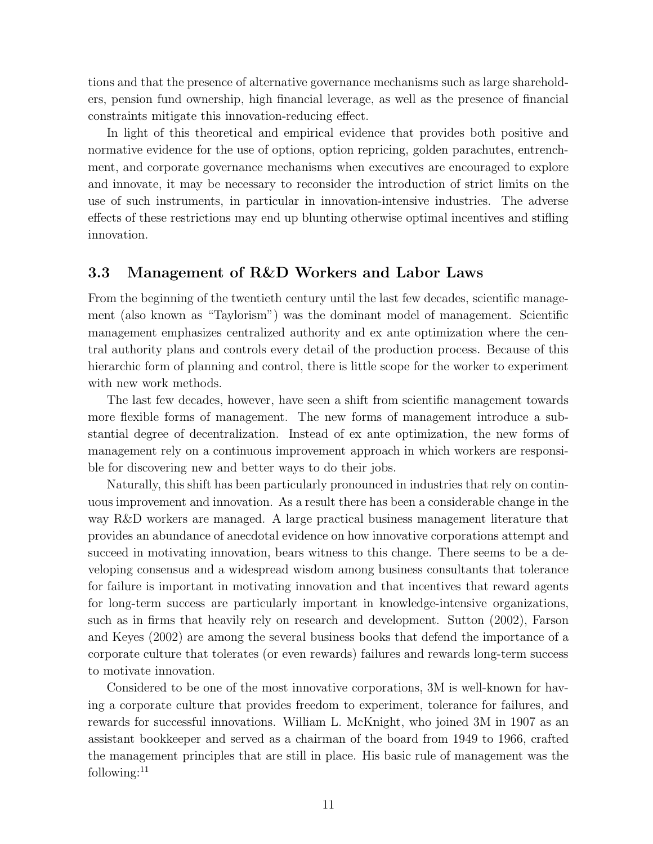tions and that the presence of alternative governance mechanisms such as large shareholders, pension fund ownership, high financial leverage, as well as the presence of financial constraints mitigate this innovation-reducing effect.

In light of this theoretical and empirical evidence that provides both positive and normative evidence for the use of options, option repricing, golden parachutes, entrenchment, and corporate governance mechanisms when executives are encouraged to explore and innovate, it may be necessary to reconsider the introduction of strict limits on the use of such instruments, in particular in innovation-intensive industries. The adverse effects of these restrictions may end up blunting otherwise optimal incentives and stifling innovation.

## 3.3 Management of R&D Workers and Labor Laws

From the beginning of the twentieth century until the last few decades, scientific management (also known as "Taylorism") was the dominant model of management. Scientific management emphasizes centralized authority and ex ante optimization where the central authority plans and controls every detail of the production process. Because of this hierarchic form of planning and control, there is little scope for the worker to experiment with new work methods.

The last few decades, however, have seen a shift from scientific management towards more flexible forms of management. The new forms of management introduce a substantial degree of decentralization. Instead of ex ante optimization, the new forms of management rely on a continuous improvement approach in which workers are responsible for discovering new and better ways to do their jobs.

Naturally, this shift has been particularly pronounced in industries that rely on continuous improvement and innovation. As a result there has been a considerable change in the way R&D workers are managed. A large practical business management literature that provides an abundance of anecdotal evidence on how innovative corporations attempt and succeed in motivating innovation, bears witness to this change. There seems to be a developing consensus and a widespread wisdom among business consultants that tolerance for failure is important in motivating innovation and that incentives that reward agents for long-term success are particularly important in knowledge-intensive organizations, such as in firms that heavily rely on research and development. Sutton (2002), Farson and Keyes (2002) are among the several business books that defend the importance of a corporate culture that tolerates (or even rewards) failures and rewards long-term success to motivate innovation.

Considered to be one of the most innovative corporations, 3M is well-known for having a corporate culture that provides freedom to experiment, tolerance for failures, and rewards for successful innovations. William L. McKnight, who joined 3M in 1907 as an assistant bookkeeper and served as a chairman of the board from 1949 to 1966, crafted the management principles that are still in place. His basic rule of management was the following: $^{11}$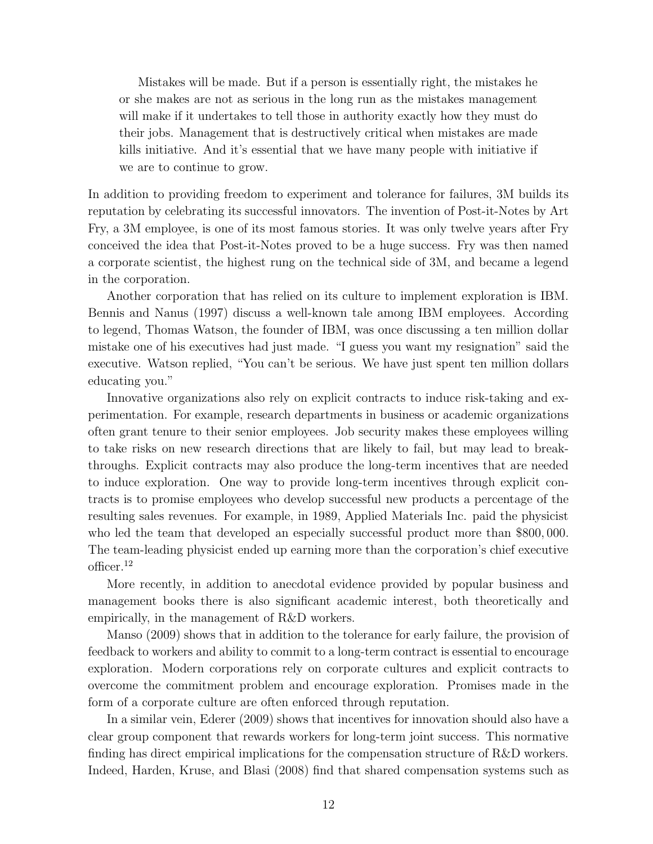Mistakes will be made. But if a person is essentially right, the mistakes he or she makes are not as serious in the long run as the mistakes management will make if it undertakes to tell those in authority exactly how they must do their jobs. Management that is destructively critical when mistakes are made kills initiative. And it's essential that we have many people with initiative if we are to continue to grow.

In addition to providing freedom to experiment and tolerance for failures, 3M builds its reputation by celebrating its successful innovators. The invention of Post-it-Notes by Art Fry, a 3M employee, is one of its most famous stories. It was only twelve years after Fry conceived the idea that Post-it-Notes proved to be a huge success. Fry was then named a corporate scientist, the highest rung on the technical side of 3M, and became a legend in the corporation.

Another corporation that has relied on its culture to implement exploration is IBM. Bennis and Nanus (1997) discuss a well-known tale among IBM employees. According to legend, Thomas Watson, the founder of IBM, was once discussing a ten million dollar mistake one of his executives had just made. "I guess you want my resignation" said the executive. Watson replied, "You can't be serious. We have just spent ten million dollars educating you."

Innovative organizations also rely on explicit contracts to induce risk-taking and experimentation. For example, research departments in business or academic organizations often grant tenure to their senior employees. Job security makes these employees willing to take risks on new research directions that are likely to fail, but may lead to breakthroughs. Explicit contracts may also produce the long-term incentives that are needed to induce exploration. One way to provide long-term incentives through explicit contracts is to promise employees who develop successful new products a percentage of the resulting sales revenues. For example, in 1989, Applied Materials Inc. paid the physicist who led the team that developed an especially successful product more than \$800, 000. The team-leading physicist ended up earning more than the corporation's chief executive officer.<sup>12</sup>

More recently, in addition to anecdotal evidence provided by popular business and management books there is also significant academic interest, both theoretically and empirically, in the management of R&D workers.

Manso (2009) shows that in addition to the tolerance for early failure, the provision of feedback to workers and ability to commit to a long-term contract is essential to encourage exploration. Modern corporations rely on corporate cultures and explicit contracts to overcome the commitment problem and encourage exploration. Promises made in the form of a corporate culture are often enforced through reputation.

In a similar vein, Ederer (2009) shows that incentives for innovation should also have a clear group component that rewards workers for long-term joint success. This normative finding has direct empirical implications for the compensation structure of R&D workers. Indeed, Harden, Kruse, and Blasi (2008) find that shared compensation systems such as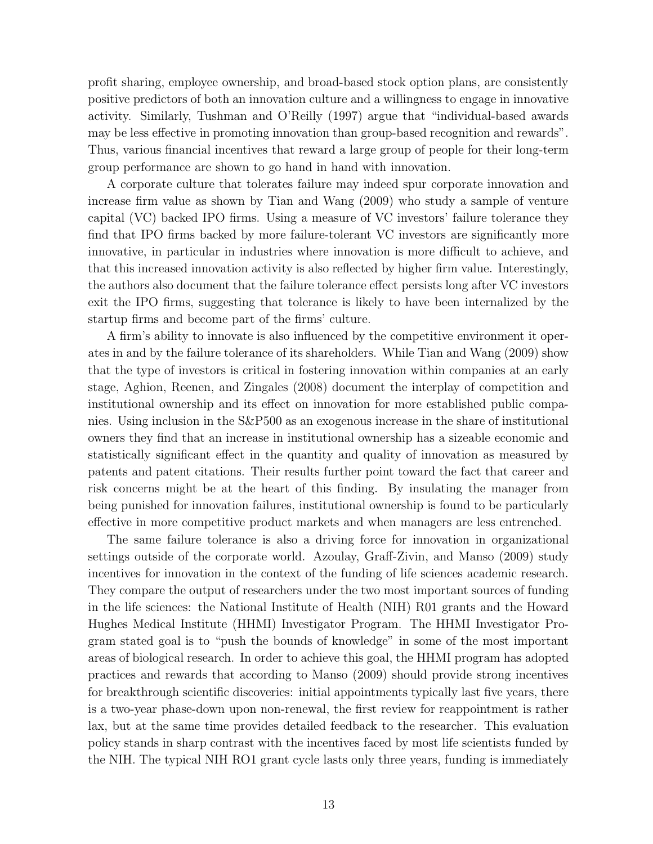profit sharing, employee ownership, and broad-based stock option plans, are consistently positive predictors of both an innovation culture and a willingness to engage in innovative activity. Similarly, Tushman and O'Reilly (1997) argue that "individual-based awards may be less effective in promoting innovation than group-based recognition and rewards". Thus, various financial incentives that reward a large group of people for their long-term group performance are shown to go hand in hand with innovation.

A corporate culture that tolerates failure may indeed spur corporate innovation and increase firm value as shown by Tian and Wang (2009) who study a sample of venture capital (VC) backed IPO firms. Using a measure of VC investors' failure tolerance they find that IPO firms backed by more failure-tolerant VC investors are significantly more innovative, in particular in industries where innovation is more difficult to achieve, and that this increased innovation activity is also reflected by higher firm value. Interestingly, the authors also document that the failure tolerance effect persists long after VC investors exit the IPO firms, suggesting that tolerance is likely to have been internalized by the startup firms and become part of the firms' culture.

A firm's ability to innovate is also influenced by the competitive environment it operates in and by the failure tolerance of its shareholders. While Tian and Wang (2009) show that the type of investors is critical in fostering innovation within companies at an early stage, Aghion, Reenen, and Zingales (2008) document the interplay of competition and institutional ownership and its effect on innovation for more established public companies. Using inclusion in the S&P500 as an exogenous increase in the share of institutional owners they find that an increase in institutional ownership has a sizeable economic and statistically significant effect in the quantity and quality of innovation as measured by patents and patent citations. Their results further point toward the fact that career and risk concerns might be at the heart of this finding. By insulating the manager from being punished for innovation failures, institutional ownership is found to be particularly effective in more competitive product markets and when managers are less entrenched.

The same failure tolerance is also a driving force for innovation in organizational settings outside of the corporate world. Azoulay, Graff-Zivin, and Manso (2009) study incentives for innovation in the context of the funding of life sciences academic research. They compare the output of researchers under the two most important sources of funding in the life sciences: the National Institute of Health (NIH) R01 grants and the Howard Hughes Medical Institute (HHMI) Investigator Program. The HHMI Investigator Program stated goal is to "push the bounds of knowledge" in some of the most important areas of biological research. In order to achieve this goal, the HHMI program has adopted practices and rewards that according to Manso (2009) should provide strong incentives for breakthrough scientific discoveries: initial appointments typically last five years, there is a two-year phase-down upon non-renewal, the first review for reappointment is rather lax, but at the same time provides detailed feedback to the researcher. This evaluation policy stands in sharp contrast with the incentives faced by most life scientists funded by the NIH. The typical NIH RO1 grant cycle lasts only three years, funding is immediately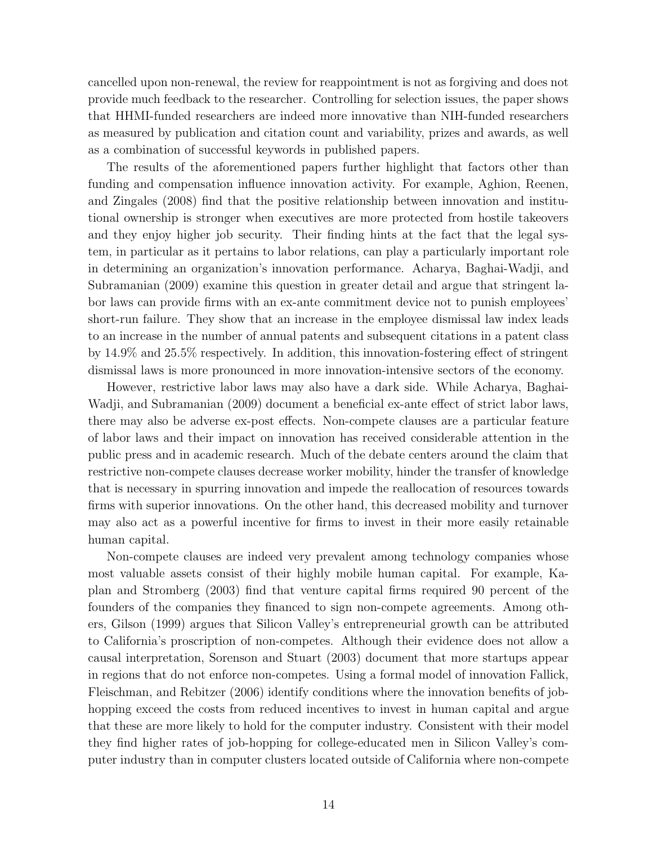cancelled upon non-renewal, the review for reappointment is not as forgiving and does not provide much feedback to the researcher. Controlling for selection issues, the paper shows that HHMI-funded researchers are indeed more innovative than NIH-funded researchers as measured by publication and citation count and variability, prizes and awards, as well as a combination of successful keywords in published papers.

The results of the aforementioned papers further highlight that factors other than funding and compensation influence innovation activity. For example, Aghion, Reenen, and Zingales (2008) find that the positive relationship between innovation and institutional ownership is stronger when executives are more protected from hostile takeovers and they enjoy higher job security. Their finding hints at the fact that the legal system, in particular as it pertains to labor relations, can play a particularly important role in determining an organization's innovation performance. Acharya, Baghai-Wadji, and Subramanian (2009) examine this question in greater detail and argue that stringent labor laws can provide firms with an ex-ante commitment device not to punish employees' short-run failure. They show that an increase in the employee dismissal law index leads to an increase in the number of annual patents and subsequent citations in a patent class by 14.9% and 25.5% respectively. In addition, this innovation-fostering effect of stringent dismissal laws is more pronounced in more innovation-intensive sectors of the economy.

However, restrictive labor laws may also have a dark side. While Acharya, Baghai-Wadji, and Subramanian (2009) document a beneficial ex-ante effect of strict labor laws, there may also be adverse ex-post effects. Non-compete clauses are a particular feature of labor laws and their impact on innovation has received considerable attention in the public press and in academic research. Much of the debate centers around the claim that restrictive non-compete clauses decrease worker mobility, hinder the transfer of knowledge that is necessary in spurring innovation and impede the reallocation of resources towards firms with superior innovations. On the other hand, this decreased mobility and turnover may also act as a powerful incentive for firms to invest in their more easily retainable human capital.

Non-compete clauses are indeed very prevalent among technology companies whose most valuable assets consist of their highly mobile human capital. For example, Kaplan and Stromberg (2003) find that venture capital firms required 90 percent of the founders of the companies they financed to sign non-compete agreements. Among others, Gilson (1999) argues that Silicon Valley's entrepreneurial growth can be attributed to California's proscription of non-competes. Although their evidence does not allow a causal interpretation, Sorenson and Stuart (2003) document that more startups appear in regions that do not enforce non-competes. Using a formal model of innovation Fallick, Fleischman, and Rebitzer (2006) identify conditions where the innovation benefits of jobhopping exceed the costs from reduced incentives to invest in human capital and argue that these are more likely to hold for the computer industry. Consistent with their model they find higher rates of job-hopping for college-educated men in Silicon Valley's computer industry than in computer clusters located outside of California where non-compete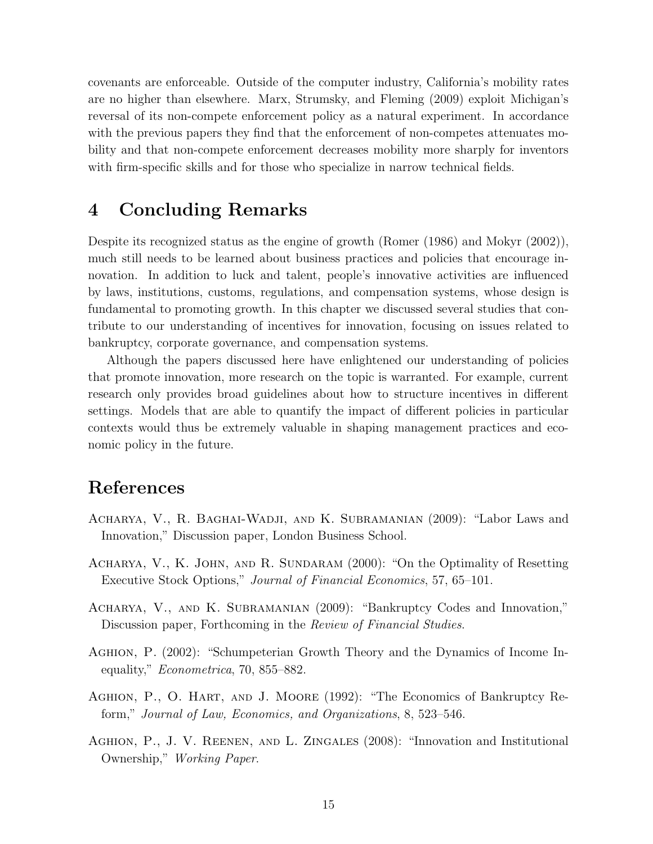covenants are enforceable. Outside of the computer industry, California's mobility rates are no higher than elsewhere. Marx, Strumsky, and Fleming (2009) exploit Michigan's reversal of its non-compete enforcement policy as a natural experiment. In accordance with the previous papers they find that the enforcement of non-competes attenuates mobility and that non-compete enforcement decreases mobility more sharply for inventors with firm-specific skills and for those who specialize in narrow technical fields.

# <span id="page-14-0"></span>4 Concluding Remarks

Despite its recognized status as the engine of growth (Romer (1986) and Mokyr (2002)), much still needs to be learned about business practices and policies that encourage innovation. In addition to luck and talent, people's innovative activities are influenced by laws, institutions, customs, regulations, and compensation systems, whose design is fundamental to promoting growth. In this chapter we discussed several studies that contribute to our understanding of incentives for innovation, focusing on issues related to bankruptcy, corporate governance, and compensation systems.

Although the papers discussed here have enlightened our understanding of policies that promote innovation, more research on the topic is warranted. For example, current research only provides broad guidelines about how to structure incentives in different settings. Models that are able to quantify the impact of different policies in particular contexts would thus be extremely valuable in shaping management practices and economic policy in the future.

# References

- Acharya, V., R. Baghai-Wadji, and K. Subramanian (2009): "Labor Laws and Innovation," Discussion paper, London Business School.
- Acharya, V., K. John, and R. Sundaram (2000): "On the Optimality of Resetting Executive Stock Options," Journal of Financial Economics, 57, 65–101.
- Acharya, V., and K. Subramanian (2009): "Bankruptcy Codes and Innovation," Discussion paper, Forthcoming in the Review of Financial Studies.
- Aghion, P. (2002): "Schumpeterian Growth Theory and the Dynamics of Income Inequality," *Econometrica*, 70, 855–882.
- AGHION, P., O. HART, AND J. MOORE (1992): "The Economics of Bankruptcy Reform," Journal of Law, Economics, and Organizations, 8, 523–546.
- Aghion, P., J. V. Reenen, and L. Zingales (2008): "Innovation and Institutional Ownership," Working Paper.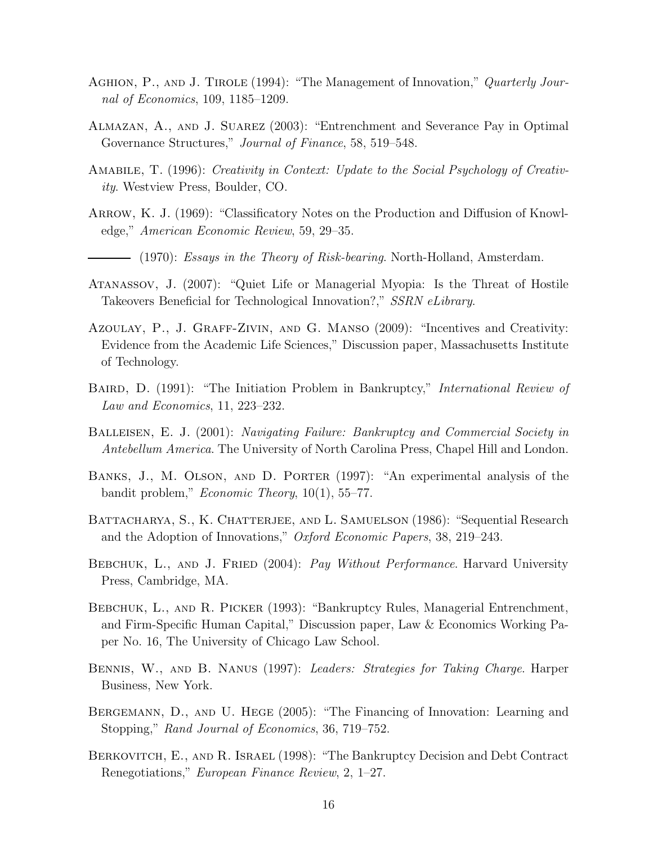- AGHION, P., AND J. TIROLE (1994): "The Management of Innovation," Quarterly Journal of Economics, 109, 1185–1209.
- Almazan, A., and J. Suarez (2003): "Entrenchment and Severance Pay in Optimal Governance Structures," *Journal of Finance*, 58, 519–548.
- Amabile, T. (1996): Creativity in Context: Update to the Social Psychology of Creativity. Westview Press, Boulder, CO.
- ARROW, K. J. (1969): "Classificatory Notes on the Production and Diffusion of Knowledge," American Economic Review, 59, 29–35.
	- $-$  (1970): Essays in the Theory of Risk-bearing. North-Holland, Amsterdam.
- Atanassov, J. (2007): "Quiet Life or Managerial Myopia: Is the Threat of Hostile Takeovers Beneficial for Technological Innovation?," SSRN eLibrary.
- Azoulay, P., J. Graff-Zivin, and G. Manso (2009): "Incentives and Creativity: Evidence from the Academic Life Sciences," Discussion paper, Massachusetts Institute of Technology.
- BAIRD, D. (1991): "The Initiation Problem in Bankruptcy," *International Review of* Law and Economics, 11, 223–232.
- Balleisen, E. J. (2001): Navigating Failure: Bankruptcy and Commercial Society in Antebellum America. The University of North Carolina Press, Chapel Hill and London.
- Banks, J., M. Olson, and D. Porter (1997): "An experimental analysis of the bandit problem," Economic Theory, 10(1), 55–77.
- BATTACHARYA, S., K. CHATTERJEE, AND L. SAMUELSON (1986): "Sequential Research and the Adoption of Innovations," Oxford Economic Papers, 38, 219–243.
- BEBCHUK, L., AND J. FRIED (2004): Pay Without Performance. Harvard University Press, Cambridge, MA.
- BEBCHUK, L., AND R. PICKER (1993): "Bankruptcy Rules, Managerial Entrenchment, and Firm-Specific Human Capital," Discussion paper, Law & Economics Working Paper No. 16, The University of Chicago Law School.
- Bennis, W., and B. Nanus (1997): Leaders: Strategies for Taking Charge. Harper Business, New York.
- BERGEMANN, D., AND U. HEGE (2005): "The Financing of Innovation: Learning and Stopping," Rand Journal of Economics, 36, 719–752.
- Berkovitch, E., and R. Israel (1998): "The Bankruptcy Decision and Debt Contract Renegotiations," European Finance Review, 2, 1–27.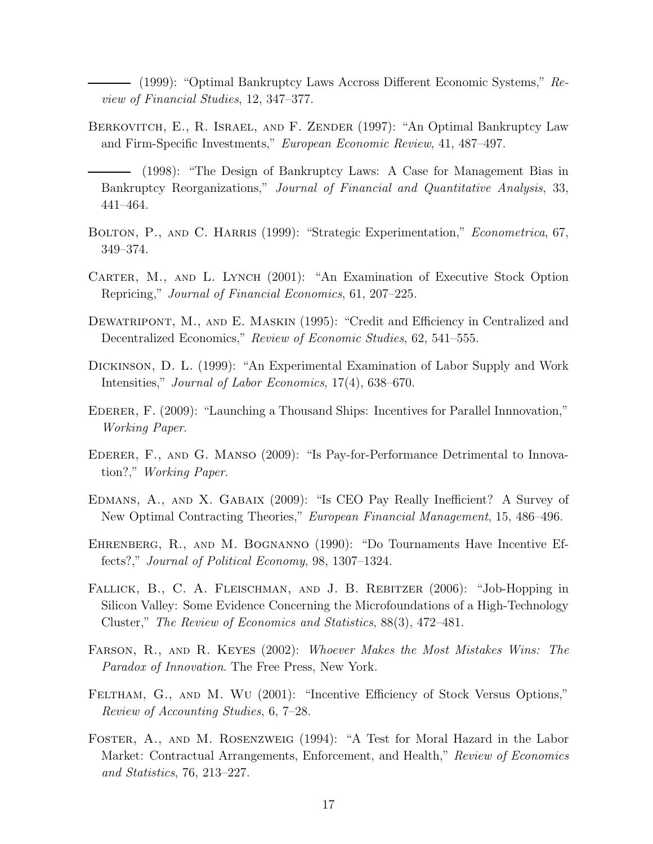(1999): "Optimal Bankruptcy Laws Accross Different Economic Systems," Review of Financial Studies, 12, 347–377.

- Berkovitch, E., R. Israel, and F. Zender (1997): "An Optimal Bankruptcy Law and Firm-Specific Investments," European Economic Review, 41, 487–497.
	- (1998): "The Design of Bankruptcy Laws: A Case for Management Bias in Bankruptcy Reorganizations," Journal of Financial and Quantitative Analysis, 33, 441–464.
- BOLTON, P., AND C. HARRIS (1999): "Strategic Experimentation," *Econometrica*, 67, 349–374.
- CARTER, M., AND L. LYNCH (2001): "An Examination of Executive Stock Option Repricing," Journal of Financial Economics, 61, 207–225.
- DEWATRIPONT, M., AND E. MASKIN (1995): "Credit and Efficiency in Centralized and Decentralized Economics," Review of Economic Studies, 62, 541–555.
- Dickinson, D. L. (1999): "An Experimental Examination of Labor Supply and Work Intensities," Journal of Labor Economics, 17(4), 638–670.
- Ederer, F. (2009): "Launching a Thousand Ships: Incentives for Parallel Innnovation," Working Paper.
- Ederer, F., and G. Manso (2009): "Is Pay-for-Performance Detrimental to Innovation?," Working Paper.
- Edmans, A., and X. Gabaix (2009): "Is CEO Pay Really Inefficient? A Survey of New Optimal Contracting Theories," European Financial Management, 15, 486–496.
- Ehrenberg, R., and M. Bognanno (1990): "Do Tournaments Have Incentive Effects?," Journal of Political Economy, 98, 1307–1324.
- FALLICK, B., C. A. FLEISCHMAN, AND J. B. REBITZER (2006): "Job-Hopping in Silicon Valley: Some Evidence Concerning the Microfoundations of a High-Technology Cluster," The Review of Economics and Statistics, 88(3), 472–481.
- Farson, R., and R. Keyes (2002): Whoever Makes the Most Mistakes Wins: The Paradox of Innovation. The Free Press, New York.
- FELTHAM, G., AND M. WU (2001): "Incentive Efficiency of Stock Versus Options," Review of Accounting Studies, 6, 7–28.
- Foster, A., and M. Rosenzweig (1994): "A Test for Moral Hazard in the Labor Market: Contractual Arrangements, Enforcement, and Health," Review of Economics and Statistics, 76, 213–227.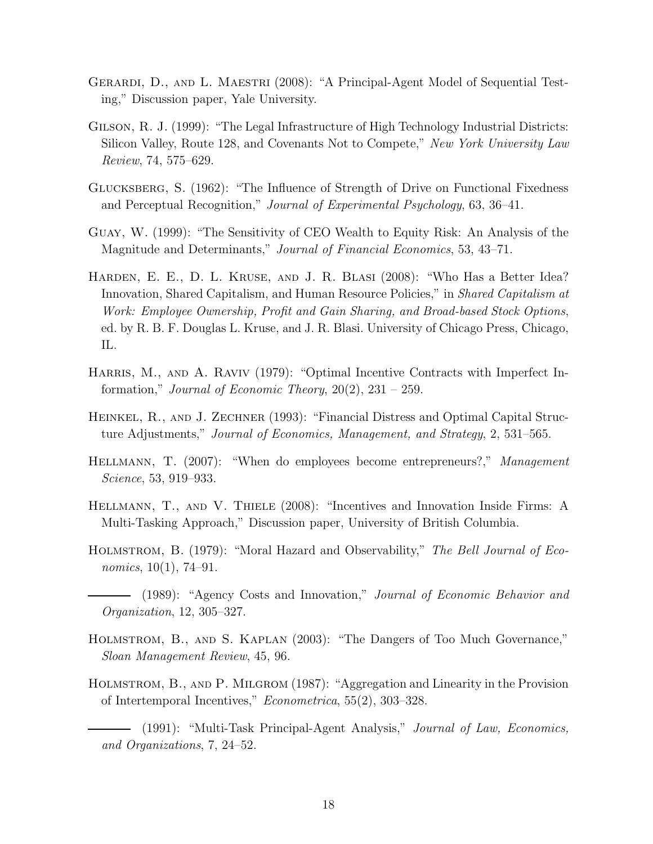- GERARDI, D., AND L. MAESTRI (2008): "A Principal-Agent Model of Sequential Testing," Discussion paper, Yale University.
- Gilson, R. J. (1999): "The Legal Infrastructure of High Technology Industrial Districts: Silicon Valley, Route 128, and Covenants Not to Compete," New York University Law Review, 74, 575–629.
- Glucksberg, S. (1962): "The Influence of Strength of Drive on Functional Fixedness and Perceptual Recognition," Journal of Experimental Psychology, 63, 36–41.
- Guay, W. (1999): "The Sensitivity of CEO Wealth to Equity Risk: An Analysis of the Magnitude and Determinants," Journal of Financial Economics, 53, 43–71.
- Harden, E. E., D. L. Kruse, and J. R. Blasi (2008): "Who Has a Better Idea? Innovation, Shared Capitalism, and Human Resource Policies," in Shared Capitalism at Work: Employee Ownership, Profit and Gain Sharing, and Broad-based Stock Options, ed. by R. B. F. Douglas L. Kruse, and J. R. Blasi. University of Chicago Press, Chicago, IL.
- Harris, M., and A. Raviv (1979): "Optimal Incentive Contracts with Imperfect Information," *Journal of Economic Theory*,  $20(2)$ ,  $231 - 259$ .
- Heinkel, R., and J. Zechner (1993): "Financial Distress and Optimal Capital Structure Adjustments," Journal of Economics, Management, and Strategy, 2, 531-565.
- HELLMANN, T. (2007): "When do employees become entrepreneurs?," Management Science, 53, 919–933.
- Hellmann, T., and V. Thiele (2008): "Incentives and Innovation Inside Firms: A Multi-Tasking Approach," Discussion paper, University of British Columbia.
- HOLMSTROM, B. (1979): "Moral Hazard and Observability," The Bell Journal of Economics,  $10(1)$ , 74–91.
	- (1989): "Agency Costs and Innovation," Journal of Economic Behavior and Organization, 12, 305–327.
- Holmstrom, B., and S. Kaplan (2003): "The Dangers of Too Much Governance," Sloan Management Review, 45, 96.
- Holmstrom, B., and P. Milgrom (1987): "Aggregation and Linearity in the Provision of Intertemporal Incentives," Econometrica, 55(2), 303–328.
	- (1991): "Multi-Task Principal-Agent Analysis," Journal of Law, Economics, and Organizations, 7, 24–52.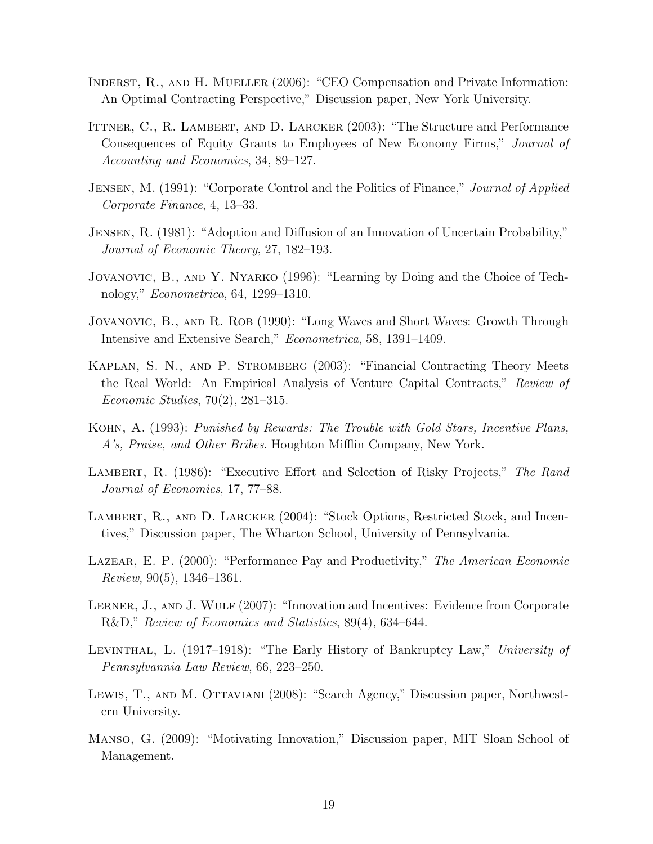- Inderst, R., and H. Mueller (2006): "CEO Compensation and Private Information: An Optimal Contracting Perspective," Discussion paper, New York University.
- ITTNER, C., R. LAMBERT, AND D. LARCKER (2003): "The Structure and Performance Consequences of Equity Grants to Employees of New Economy Firms," Journal of Accounting and Economics, 34, 89–127.
- JENSEN, M. (1991): "Corporate Control and the Politics of Finance," *Journal of Applied* Corporate Finance, 4, 13–33.
- Jensen, R. (1981): "Adoption and Diffusion of an Innovation of Uncertain Probability," Journal of Economic Theory, 27, 182–193.
- Jovanovic, B., and Y. Nyarko (1996): "Learning by Doing and the Choice of Technology," Econometrica, 64, 1299–1310.
- JOVANOVIC, B., AND R. ROB (1990): "Long Waves and Short Waves: Growth Through Intensive and Extensive Search," Econometrica, 58, 1391–1409.
- KAPLAN, S. N., AND P. STROMBERG (2003): "Financial Contracting Theory Meets the Real World: An Empirical Analysis of Venture Capital Contracts," Review of Economic Studies, 70(2), 281–315.
- Kohn, A. (1993): Punished by Rewards: The Trouble with Gold Stars, Incentive Plans, A's, Praise, and Other Bribes. Houghton Mifflin Company, New York.
- LAMBERT, R. (1986): "Executive Effort and Selection of Risky Projects," The Rand Journal of Economics, 17, 77–88.
- LAMBERT, R., AND D. LARCKER (2004): "Stock Options, Restricted Stock, and Incentives," Discussion paper, The Wharton School, University of Pennsylvania.
- LAZEAR, E. P. (2000): "Performance Pay and Productivity," The American Economic  $Review, 90(5), 1346-1361.$
- LERNER, J., AND J. WULF (2007): "Innovation and Incentives: Evidence from Corporate R&D," Review of Economics and Statistics, 89(4), 634–644.
- Levinthal, L. (1917–1918): "The Early History of Bankruptcy Law," University of Pennsylvannia Law Review, 66, 223–250.
- Lewis, T., and M. Ottaviani (2008): "Search Agency," Discussion paper, Northwestern University.
- Manso, G. (2009): "Motivating Innovation," Discussion paper, MIT Sloan School of Management.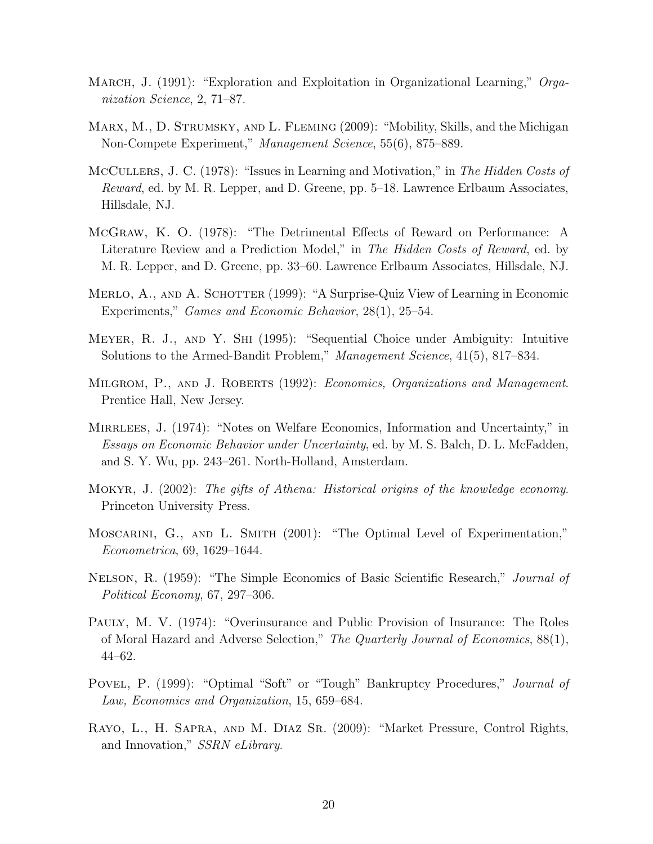- MARCH, J. (1991): "Exploration and Exploitation in Organizational Learning," Organization Science, 2, 71–87.
- MARX, M., D. STRUMSKY, AND L. FLEMING (2009): "Mobility, Skills, and the Michigan Non-Compete Experiment," Management Science, 55(6), 875–889.
- McCullers, J. C. (1978): "Issues in Learning and Motivation," in The Hidden Costs of Reward, ed. by M. R. Lepper, and D. Greene, pp. 5–18. Lawrence Erlbaum Associates, Hillsdale, NJ.
- McGraw, K. O. (1978): "The Detrimental Effects of Reward on Performance: A Literature Review and a Prediction Model," in The Hidden Costs of Reward, ed. by M. R. Lepper, and D. Greene, pp. 33–60. Lawrence Erlbaum Associates, Hillsdale, NJ.
- MERLO, A., AND A. SCHOTTER (1999): "A Surprise-Quiz View of Learning in Economic Experiments," Games and Economic Behavior, 28(1), 25–54.
- Meyer, R. J., and Y. Shi (1995): "Sequential Choice under Ambiguity: Intuitive Solutions to the Armed-Bandit Problem," Management Science, 41(5), 817–834.
- Milgrom, P., and J. Roberts (1992): Economics, Organizations and Management. Prentice Hall, New Jersey.
- MIRRLEES, J. (1974): "Notes on Welfare Economics, Information and Uncertainty," in Essays on Economic Behavior under Uncertainty, ed. by M. S. Balch, D. L. McFadden, and S. Y. Wu, pp. 243–261. North-Holland, Amsterdam.
- Mokyr, J. (2002): The gifts of Athena: Historical origins of the knowledge economy. Princeton University Press.
- MOSCARINI, G., AND L. SMITH (2001): "The Optimal Level of Experimentation," Econometrica, 69, 1629–1644.
- Nelson, R. (1959): "The Simple Economics of Basic Scientific Research," Journal of Political Economy, 67, 297–306.
- Pauly, M. V. (1974): "Overinsurance and Public Provision of Insurance: The Roles of Moral Hazard and Adverse Selection," The Quarterly Journal of Economics, 88(1), 44–62.
- Povel, P. (1999): "Optimal "Soft" or "Tough" Bankruptcy Procedures," *Journal of* Law, Economics and Organization, 15, 659–684.
- Rayo, L., H. Sapra, and M. Diaz Sr. (2009): "Market Pressure, Control Rights, and Innovation," SSRN eLibrary.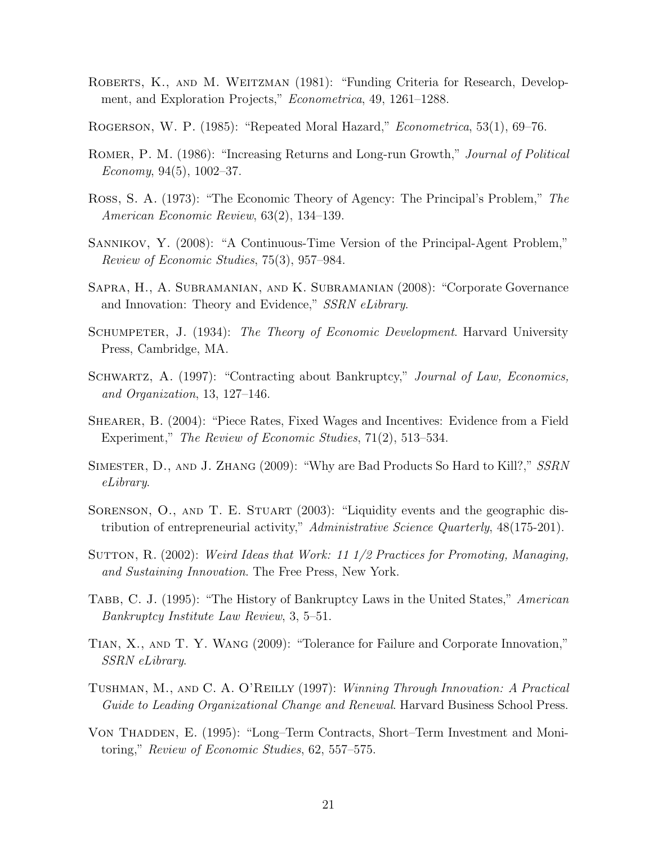- ROBERTS, K., AND M. WEITZMAN (1981): "Funding Criteria for Research, Development, and Exploration Projects," Econometrica, 49, 1261–1288.
- Rogerson, W. P. (1985): "Repeated Moral Hazard," Econometrica, 53(1), 69–76.
- Romer, P. M. (1986): "Increasing Returns and Long-run Growth," Journal of Political Economy,  $94(5)$ ,  $1002-37$ .
- Ross, S. A. (1973): "The Economic Theory of Agency: The Principal's Problem," The American Economic Review, 63(2), 134–139.
- Sannikov, Y. (2008): "A Continuous-Time Version of the Principal-Agent Problem," Review of Economic Studies, 75(3), 957–984.
- Sapra, H., A. Subramanian, and K. Subramanian (2008): "Corporate Governance and Innovation: Theory and Evidence," SSRN eLibrary.
- SCHUMPETER, J. (1934): The Theory of Economic Development. Harvard University Press, Cambridge, MA.
- SCHWARTZ, A. (1997): "Contracting about Bankruptcy," Journal of Law, Economics, and Organization, 13, 127–146.
- SHEARER, B. (2004): "Piece Rates, Fixed Wages and Incentives: Evidence from a Field Experiment," The Review of Economic Studies, 71(2), 513–534.
- Simester, D., and J. Zhang (2009): "Why are Bad Products So Hard to Kill?," SSRN eLibrary.
- SORENSON, O., AND T. E. STUART (2003): "Liquidity events and the geographic distribution of entrepreneurial activity," Administrative Science Quarterly, 48(175-201).
- SUTTON, R. (2002): Weird Ideas that Work: 11 1/2 Practices for Promoting, Managing, and Sustaining Innovation. The Free Press, New York.
- TABB, C. J. (1995): "The History of Bankruptcy Laws in the United States," American Bankruptcy Institute Law Review, 3, 5–51.
- Tian, X., and T. Y. Wang (2009): "Tolerance for Failure and Corporate Innovation," SSRN eLibrary.
- Tushman, M., and C. A. O'Reilly (1997): Winning Through Innovation: A Practical Guide to Leading Organizational Change and Renewal. Harvard Business School Press.
- Von Thadden, E. (1995): "Long–Term Contracts, Short–Term Investment and Monitoring," Review of Economic Studies, 62, 557–575.